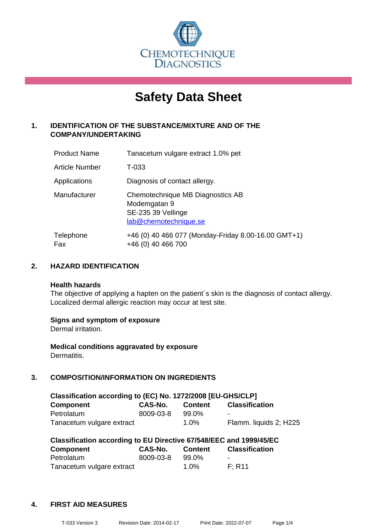

# **Safety Data Sheet**

# **1. IDENTIFICATION OF THE SUBSTANCE/MIXTURE AND OF THE COMPANY/UNDERTAKING**

| <b>Product Name</b> | Tanacetum vulgare extract 1.0% pet                                                              |
|---------------------|-------------------------------------------------------------------------------------------------|
| Article Number      | T-033                                                                                           |
| Applications        | Diagnosis of contact allergy.                                                                   |
| Manufacturer        | Chemotechnique MB Diagnostics AB<br>Modemgatan 9<br>SE-235 39 Vellinge<br>lab@chemotechnique.se |
| Telephone<br>Fax    | +46 (0) 40 466 077 (Monday-Friday 8.00-16.00 GMT+1)<br>+46 (0) 40 466 700                       |

# **2. HAZARD IDENTIFICATION**

#### **Health hazards**

The objective of applying a hapten on the patient's skin is the diagnosis of contact allergy. Localized dermal allergic reaction may occur at test site.

#### **Signs and symptom of exposure**

Dermal irritation.

**Medical conditions aggravated by exposure** Dermatitis.

# **3. COMPOSITION/INFORMATION ON INGREDIENTS**

| Classification according to (EC) No. 1272/2008 [EU-GHS/CLP] |                |         |                        |  |
|-------------------------------------------------------------|----------------|---------|------------------------|--|
| <b>Component</b>                                            | <b>CAS-No.</b> | Content | <b>Classification</b>  |  |
| Petrolatum                                                  | 8009-03-8      | 99.0%   | -                      |  |
| Tanacetum vulgare extract                                   |                | $1.0\%$ | Flamm. liquids 2; H225 |  |

| Classification according to EU Directive 67/548/EEC and 1999/45/EC |           |                |                       |  |
|--------------------------------------------------------------------|-----------|----------------|-----------------------|--|
| Component                                                          | CAS-No.   | <b>Content</b> | <b>Classification</b> |  |
| Petrolatum                                                         | 8009-03-8 | 99.0%          | -                     |  |
| Tanacetum vulgare extract                                          |           | $1.0\%$        | F: R11                |  |

# **4. FIRST AID MEASURES**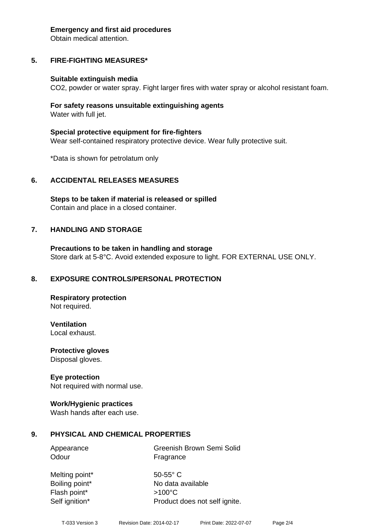#### **Emergency and first aid procedures**

Obtain medical attention.

# **5. FIRE-FIGHTING MEASURES\***

#### **Suitable extinguish media**

CO2, powder or water spray. Fight larger fires with water spray or alcohol resistant foam.

#### **For safety reasons unsuitable extinguishing agents** Water with full jet.

**Special protective equipment for fire-fighters** Wear self-contained respiratory protective device. Wear fully protective suit.

\*Data is shown for petrolatum only

#### **6. ACCIDENTAL RELEASES MEASURES**

**Steps to be taken if material is released or spilled** Contain and place in a closed container.

#### **7. HANDLING AND STORAGE**

**Precautions to be taken in handling and storage** Store dark at 5-8°C. Avoid extended exposure to light. FOR EXTERNAL USE ONLY.

#### **8. EXPOSURE CONTROLS/PERSONAL PROTECTION**

**Respiratory protection** Not required.

**Ventilation**

Local exhaust.

**Protective gloves** Disposal gloves.

#### **Eye protection**

Not required with normal use.

#### **Work/Hygienic practices**

Wash hands after each use.

#### **9. PHYSICAL AND CHEMICAL PROPERTIES**

| Appearance | Greenish Brown Semi Solid |
|------------|---------------------------|
| Odour      | Fragrance                 |

Melting point\* 50-55° C Flash point\* >100°C Self ignition\* Product does not self ignite.

Boiling point\* No data available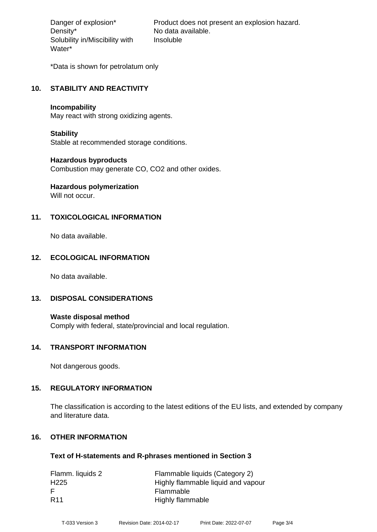Density\* No data available. Solubility in/Miscibility with Water\*

Danger of explosion\* Product does not present an explosion hazard. Insoluble

\*Data is shown for petrolatum only

#### **10. STABILITY AND REACTIVITY**

#### **Incompability**

May react with strong oxidizing agents.

#### **Stability**

Stable at recommended storage conditions.

#### **Hazardous byproducts**

Combustion may generate CO, CO2 and other oxides.

# **Hazardous polymerization**

Will not occur.

# **11. TOXICOLOGICAL INFORMATION**

No data available.

# **12. ECOLOGICAL INFORMATION**

No data available.

#### **13. DISPOSAL CONSIDERATIONS**

**Waste disposal method** Comply with federal, state/provincial and local regulation.

#### **14. TRANSPORT INFORMATION**

Not dangerous goods.

#### **15. REGULATORY INFORMATION**

The classification is according to the latest editions of the EU lists, and extended by company and literature data.

# **16. OTHER INFORMATION**

#### **Text of H-statements and R-phrases mentioned in Section 3**

| Flamm. liquids 2 | Flammable liquids (Category 2)     |
|------------------|------------------------------------|
| H <sub>225</sub> | Highly flammable liquid and vapour |
| E                | Flammable                          |
| <b>R11</b>       | Highly flammable                   |